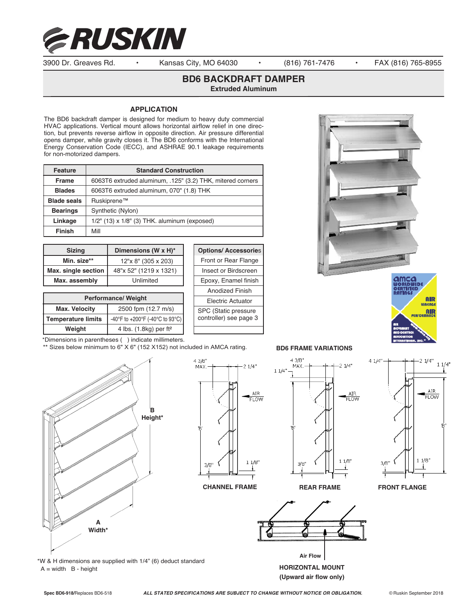

3900 Dr. Greaves Rd. • Kansas City, MO 64030 • (816) 761-7476 • FAX (816) 765-8955

# **BD6 BACKDRAFT DAMPER**

**Extruded Aluminum**

### **APPLICATION**

The BD6 backdraft damper is designed for medium to heavy duty commercial HVAC applications. Vertical mount allows horizontal airflow relief in one direction, but prevents reverse airflow in opposite direction. Air pressure differential opens damper, while gravity closes it. The BD6 conforms with the International Energy Conservation Code (IECC), and ASHRAE 90.1 leakage requirements for non-motorized dampers.

| <b>Feature</b>     | <b>Standard Construction</b>                               |
|--------------------|------------------------------------------------------------|
| <b>Frame</b>       | 6063T6 extruded aluminum, .125" (3.2) THK, mitered corners |
| <b>Blades</b>      | 6063T6 extruded aluminum, 070" (1.8) THK                   |
| <b>Blade seals</b> | Ruskiprene™                                                |
| <b>Bearings</b>    | Synthetic (Nylon)                                          |
| Linkage            | $1/2$ " (13) x $1/8$ " (3) THK. aluminum (exposed)         |
| <b>Finish</b>      | Mill                                                       |

| <b>Sizing</b>       | Dimensions (W x H)*    |
|---------------------|------------------------|
| Min. size**         | 12"x 8" (305 x 203)    |
| Max. single section | 48"x 52" (1219 x 1321) |
| Max. assembly       | Unlimited              |

| <b>Performance/ Weight</b> |                                      |  |
|----------------------------|--------------------------------------|--|
| <b>Max. Velocity</b>       | 2500 fpm (12.7 m/s)                  |  |
| <b>Temperature limits</b>  | -40°F to +200°F (-40°C to 93°C)      |  |
| Weight                     | 4 lbs. $(1.8kg)$ per ft <sup>2</sup> |  |

| <b>Options/ Accessories</b>                    |  |  |
|------------------------------------------------|--|--|
| Front or Rear Flange                           |  |  |
| Insect or Birdscreen                           |  |  |
| Epoxy, Enamel finish                           |  |  |
| <b>Anodized Finish</b>                         |  |  |
| Electric Actuator                              |  |  |
| SPC (Static pressure<br>controller) see page 3 |  |  |
|                                                |  |  |





### \*Dimensions in parentheses ( ) indicate millimeters.

\*\* Sizes below minimum to 6" X 6" (152 X152) not included in AMCA rating.





**CHANNEL FRAME REAR FRAME FRONT FLANGE**



 $11/8$ 

**BD6 FRAME VARIATIONS**





\*W & H dimensions are supplied with 1/4" (6) deduct standard A = width B - height **HORIZONTAL MOUNT** 

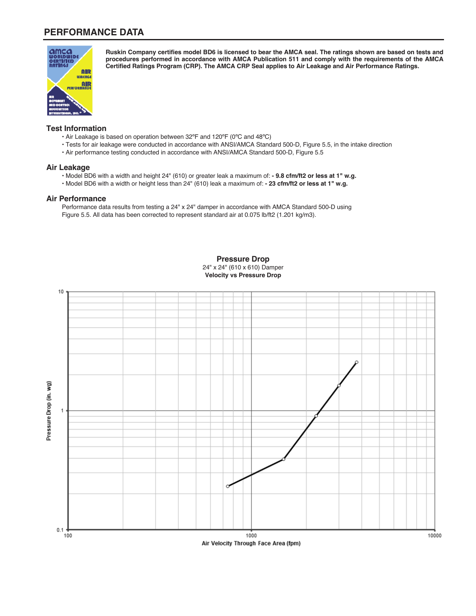# **PERFORMANCE DATA**



**Ruskin Company certifies model BD6 is licensed to bear the AMCA seal. The ratings shown are based on tests and procedures performed in accordance with AMCA Publication 511 and comply with the requirements of the AMCA Certified Ratings Program (CRP). The AMCA CRP Seal applies to Air Leakage and Air Performance Ratings.**

### **Test Information**

- Air Leakage is based on operation between 32ºF and 120ºF (0ºC and 48ºC)
- Tests for air leakage were conducted in accordance with ANSI/AMCA Standard 500-D, Figure 5.5, in the intake direction
- Air performance testing conducted in accordance with ANSI/AMCA Standard 500-D, Figure 5.5

#### **Air Leakage**

- Model BD6 with a width and height 24" (610) or greater leak a maximum of:  **9.8 cfm/ft2 or less at 1" w.g.**
- Model BD6 with a width or height less than 24" (610) leak a maximum of:  **23 cfm/ft2 or less at 1" w.g.**

### **Air Performance**

Performance data results from testing a 24" x 24" damper in accordance with AMCA Standard 500-D using Figure 5.5. All data has been corrected to represent standard air at 0.075 lb/ft2 (1.201 kg/m3).



**Pressure Drop** 24" x 24" (610 x 610) Damper **Velocity vs Pressure Drop**